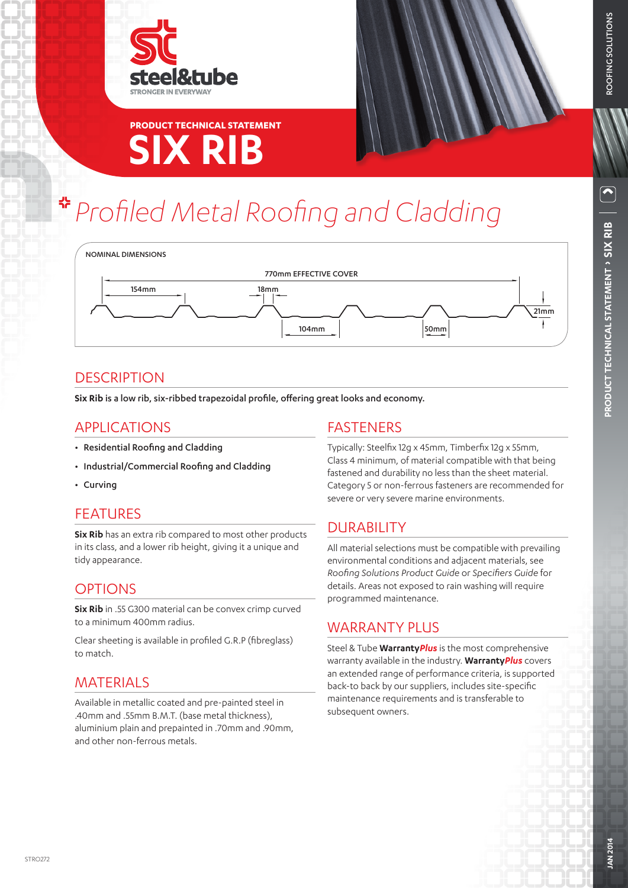

# **SIX RIB PRODUCT TECHNICAL STATEMENT**

# *Profiled Metal Roofing and Cladding*



### **DESCRIPTION**

**Six Rib** is a low rib, six-ribbed trapezoidal profile, offering great looks and economy.

### APPLICATIONS

- Residential Roofing and Cladding
- Industrial/Commercial Roofing and Cladding
- Curving

### FEATURES

**Six Rib** has an extra rib compared to most other products in its class, and a lower rib height, giving it a unique and tidy appearance.

### **OPTIONS**

**Six Rib** in .55 G300 material can be convex crimp curved to a minimum 400mm radius.

Clear sheeting is available in profiled G.R.P (fibreglass) to match.

### MATERIALS

Available in metallic coated and pre-painted steel in .40mm and .55mm B.M.T. (base metal thickness), aluminium plain and prepainted in .70mm and .90mm, and other non-ferrous metals.

### FASTENERS

Typically: Steelfix 12g x 45mm, Timberfix 12g x 55mm, Class 4 minimum, of material compatible with that being fastened and durability no less than the sheet material. Category 5 or non-ferrous fasteners are recommended for severe or very severe marine environments.

## DURABILITY

All material selections must be compatible with prevailing environmental conditions and adjacent materials, see *Roofing Solutions Product Guide* or *Specifiers Guide* for details. Areas not exposed to rain washing will require programmed maintenance.

### WARRANTY PLUS

Steel & Tube **Warranty***Plus* is the most comprehensive warranty available in the industry. **Warranty***Plus* covers an extended range of performance criteria, is supported back-to back by our suppliers, includes site-specific maintenance requirements and is transferable to subsequent owners.